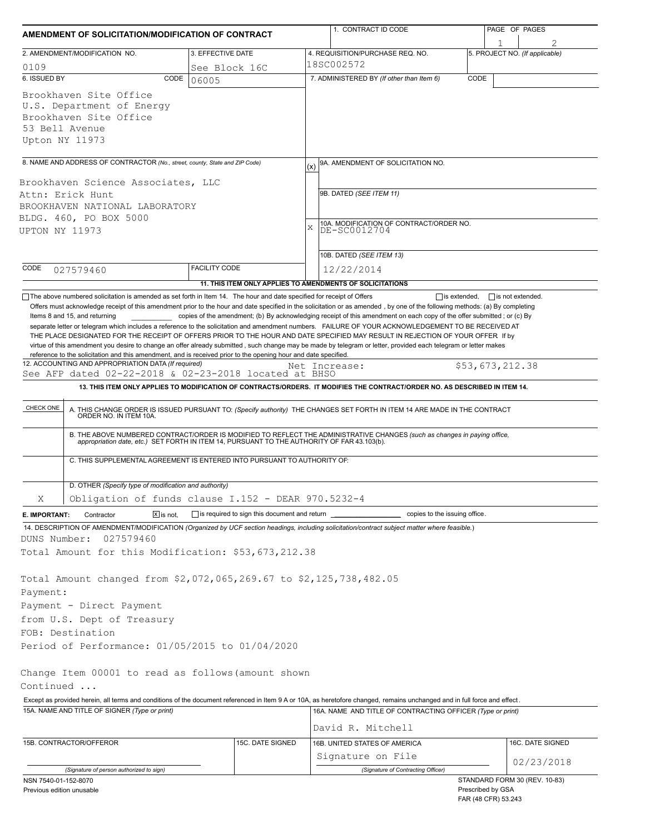| 3. EFFECTIVE DATE<br>2. AMENDMENT/MODIFICATION NO.<br>4. REQUISITION/PURCHASE REQ. NO.<br>18SC002572<br>0109<br>See Block 16C<br>6. ISSUED BY<br>CODE<br>7. ADMINISTERED BY (If other than Item 6)<br>06005<br>Brookhaven Site Office<br>U.S. Department of Energy<br>Brookhaven Site Office<br>53 Bell Avenue<br>Upton NY 11973<br>8. NAME AND ADDRESS OF CONTRACTOR (No., street, county, State and ZIP Code)<br>9A. AMENDMENT OF SOLICITATION NO.<br>(x)<br>Brookhaven Science Associates, LLC<br>9B. DATED (SEE ITEM 11)<br>Attn: Erick Hunt<br>BROOKHAVEN NATIONAL LABORATORY<br>BLDG. 460, PO BOX 5000<br>$\mathbf x$<br>UPTON NY 11973<br>10B. DATED (SEE ITEM 13)<br>CODE<br><b>FACILITY CODE</b><br>12/22/2014<br>027579460<br>11. THIS ITEM ONLY APPLIES TO AMENDMENTS OF SOLICITATIONS<br>The above numbered solicitation is amended as set forth in Item 14. The hour and date specified for receipt of Offers<br>Offers must acknowledge receipt of this amendment prior to the hour and date specified in the solicitation or as amended, by one of the following methods: (a) By completing<br>Items 8 and 15, and returning<br>copies of the amendment; (b) By acknowledging receipt of this amendment on each copy of the offer submitted; or (c) By<br>separate letter or telegram which includes a reference to the solicitation and amendment numbers. FAILURE OF YOUR ACKNOWLEDGEMENT TO BE RECEIVED AT<br>THE PLACE DESIGNATED FOR THE RECEIPT OF OFFERS PRIOR TO THE HOUR AND DATE SPECIFIED MAY RESULT IN REJECTION OF YOUR OFFER If by<br>virtue of this amendment you desire to change an offer already submitted, such change may be made by telegram or letter, provided each telegram or letter makes<br>reference to the solicitation and this amendment, and is received prior to the opening hour and date specified.<br>12. ACCOUNTING AND APPROPRIATION DATA (If required)<br>Net Increase:<br>See AFP dated 02-22-2018 & 02-23-2018 located at BHSO<br>13. THIS ITEM ONLY APPLIES TO MODIFICATION OF CONTRACTS/ORDERS. IT MODIFIES THE CONTRACT/ORDER NO. AS DESCRIBED IN ITEM 14.<br>CHECK ONE<br>A. THIS CHANGE ORDER IS ISSUED PURSUANT TO: (Specify authority) THE CHANGES SET FORTH IN ITEM 14 ARE MADE IN THE CONTRACT ORDER NO. IN ITEM 10A.<br>B. THE ABOVE NUMBERED CONTRACT/ORDER IS MODIFIED TO REFLECT THE ADMINISTRATIVE CHANGES (such as changes in paying office,<br>appropriation date, etc.) SET FORTH IN ITEM 14, PURSUANT TO THE AUTHORITY OF FAR 43.103(b).<br>C. THIS SUPPLEMENTAL AGREEMENT IS ENTERED INTO PURSUANT TO AUTHORITY OF:<br>D. OTHER (Specify type of modification and authority)<br>Obligation of funds clause I.152 - DEAR 970.5232-4<br>Χ<br>is required to sign this document and return _<br>Contractor<br>$X$ is not.<br>E. IMPORTANT:<br>14. DESCRIPTION OF AMENDMENT/MODIFICATION (Organized by UCF section headings, including solicitation/contract subject matter where feasible.)<br>DUNS Number:<br>027579460<br>Total Amount for this Modification: \$53,673,212.38<br>Total Amount changed from \$2,072,065,269.67 to \$2,125,738,482.05<br>Payment:<br>Payment - Direct Payment<br>from U.S. Dept of Treasury<br>FOB: Destination<br>Period of Performance: 01/05/2015 to 01/04/2020<br>Change Item 00001 to read as follows (amount shown<br>Continued<br>Except as provided herein, all terms and conditions of the document referenced in Item 9 A or 10A, as heretofore changed, remains unchanged and in full force and effect.<br>15A. NAME AND TITLE OF SIGNER (Type or print)<br>16A. NAME AND TITLE OF CONTRACTING OFFICER (Type or print)<br>David R. Mitchell<br>15B. CONTRACTOR/OFFEROR<br>15C. DATE SIGNED<br>16B. UNITED STATES OF AMERICA<br>Signature on File | 1. CONTRACT ID CODE                                     |                 |                                |  |
|---------------------------------------------------------------------------------------------------------------------------------------------------------------------------------------------------------------------------------------------------------------------------------------------------------------------------------------------------------------------------------------------------------------------------------------------------------------------------------------------------------------------------------------------------------------------------------------------------------------------------------------------------------------------------------------------------------------------------------------------------------------------------------------------------------------------------------------------------------------------------------------------------------------------------------------------------------------------------------------------------------------------------------------------------------------------------------------------------------------------------------------------------------------------------------------------------------------------------------------------------------------------------------------------------------------------------------------------------------------------------------------------------------------------------------------------------------------------------------------------------------------------------------------------------------------------------------------------------------------------------------------------------------------------------------------------------------------------------------------------------------------------------------------------------------------------------------------------------------------------------------------------------------------------------------------------------------------------------------------------------------------------------------------------------------------------------------------------------------------------------------------------------------------------------------------------------------------------------------------------------------------------------------------------------------------------------------------------------------------------------------------------------------------------------------------------------------------------------------------------------------------------------------------------------------------------------------------------------------------------------------------------------------------------------------------------------------------------------------------------------------------------------------------------------------------------------------------------------------------------------------------------------------------------------------------------------------------------------------------------------------------------------------------------------------------------------------------------------------------------------------------------------------------------------------------------------------------------------------------------------------------------------------------------------------------------------------------------------------------------------------------------------------------------------------------------------------------------------------------------------------------------------------------------------------------------------------------------------------------------------------------------------------------------------------------------------------------------------------------------------------------------|---------------------------------------------------------|-----------------|--------------------------------|--|
|                                                                                                                                                                                                                                                                                                                                                                                                                                                                                                                                                                                                                                                                                                                                                                                                                                                                                                                                                                                                                                                                                                                                                                                                                                                                                                                                                                                                                                                                                                                                                                                                                                                                                                                                                                                                                                                                                                                                                                                                                                                                                                                                                                                                                                                                                                                                                                                                                                                                                                                                                                                                                                                                                                                                                                                                                                                                                                                                                                                                                                                                                                                                                                                                                                                                                                                                                                                                                                                                                                                                                                                                                                                                                                                                                                     |                                                         |                 | 5. PROJECT NO. (If applicable) |  |
|                                                                                                                                                                                                                                                                                                                                                                                                                                                                                                                                                                                                                                                                                                                                                                                                                                                                                                                                                                                                                                                                                                                                                                                                                                                                                                                                                                                                                                                                                                                                                                                                                                                                                                                                                                                                                                                                                                                                                                                                                                                                                                                                                                                                                                                                                                                                                                                                                                                                                                                                                                                                                                                                                                                                                                                                                                                                                                                                                                                                                                                                                                                                                                                                                                                                                                                                                                                                                                                                                                                                                                                                                                                                                                                                                                     |                                                         |                 |                                |  |
|                                                                                                                                                                                                                                                                                                                                                                                                                                                                                                                                                                                                                                                                                                                                                                                                                                                                                                                                                                                                                                                                                                                                                                                                                                                                                                                                                                                                                                                                                                                                                                                                                                                                                                                                                                                                                                                                                                                                                                                                                                                                                                                                                                                                                                                                                                                                                                                                                                                                                                                                                                                                                                                                                                                                                                                                                                                                                                                                                                                                                                                                                                                                                                                                                                                                                                                                                                                                                                                                                                                                                                                                                                                                                                                                                                     |                                                         | CODE            |                                |  |
|                                                                                                                                                                                                                                                                                                                                                                                                                                                                                                                                                                                                                                                                                                                                                                                                                                                                                                                                                                                                                                                                                                                                                                                                                                                                                                                                                                                                                                                                                                                                                                                                                                                                                                                                                                                                                                                                                                                                                                                                                                                                                                                                                                                                                                                                                                                                                                                                                                                                                                                                                                                                                                                                                                                                                                                                                                                                                                                                                                                                                                                                                                                                                                                                                                                                                                                                                                                                                                                                                                                                                                                                                                                                                                                                                                     |                                                         |                 |                                |  |
|                                                                                                                                                                                                                                                                                                                                                                                                                                                                                                                                                                                                                                                                                                                                                                                                                                                                                                                                                                                                                                                                                                                                                                                                                                                                                                                                                                                                                                                                                                                                                                                                                                                                                                                                                                                                                                                                                                                                                                                                                                                                                                                                                                                                                                                                                                                                                                                                                                                                                                                                                                                                                                                                                                                                                                                                                                                                                                                                                                                                                                                                                                                                                                                                                                                                                                                                                                                                                                                                                                                                                                                                                                                                                                                                                                     |                                                         |                 |                                |  |
|                                                                                                                                                                                                                                                                                                                                                                                                                                                                                                                                                                                                                                                                                                                                                                                                                                                                                                                                                                                                                                                                                                                                                                                                                                                                                                                                                                                                                                                                                                                                                                                                                                                                                                                                                                                                                                                                                                                                                                                                                                                                                                                                                                                                                                                                                                                                                                                                                                                                                                                                                                                                                                                                                                                                                                                                                                                                                                                                                                                                                                                                                                                                                                                                                                                                                                                                                                                                                                                                                                                                                                                                                                                                                                                                                                     |                                                         |                 |                                |  |
|                                                                                                                                                                                                                                                                                                                                                                                                                                                                                                                                                                                                                                                                                                                                                                                                                                                                                                                                                                                                                                                                                                                                                                                                                                                                                                                                                                                                                                                                                                                                                                                                                                                                                                                                                                                                                                                                                                                                                                                                                                                                                                                                                                                                                                                                                                                                                                                                                                                                                                                                                                                                                                                                                                                                                                                                                                                                                                                                                                                                                                                                                                                                                                                                                                                                                                                                                                                                                                                                                                                                                                                                                                                                                                                                                                     |                                                         |                 |                                |  |
|                                                                                                                                                                                                                                                                                                                                                                                                                                                                                                                                                                                                                                                                                                                                                                                                                                                                                                                                                                                                                                                                                                                                                                                                                                                                                                                                                                                                                                                                                                                                                                                                                                                                                                                                                                                                                                                                                                                                                                                                                                                                                                                                                                                                                                                                                                                                                                                                                                                                                                                                                                                                                                                                                                                                                                                                                                                                                                                                                                                                                                                                                                                                                                                                                                                                                                                                                                                                                                                                                                                                                                                                                                                                                                                                                                     |                                                         |                 |                                |  |
|                                                                                                                                                                                                                                                                                                                                                                                                                                                                                                                                                                                                                                                                                                                                                                                                                                                                                                                                                                                                                                                                                                                                                                                                                                                                                                                                                                                                                                                                                                                                                                                                                                                                                                                                                                                                                                                                                                                                                                                                                                                                                                                                                                                                                                                                                                                                                                                                                                                                                                                                                                                                                                                                                                                                                                                                                                                                                                                                                                                                                                                                                                                                                                                                                                                                                                                                                                                                                                                                                                                                                                                                                                                                                                                                                                     |                                                         |                 |                                |  |
|                                                                                                                                                                                                                                                                                                                                                                                                                                                                                                                                                                                                                                                                                                                                                                                                                                                                                                                                                                                                                                                                                                                                                                                                                                                                                                                                                                                                                                                                                                                                                                                                                                                                                                                                                                                                                                                                                                                                                                                                                                                                                                                                                                                                                                                                                                                                                                                                                                                                                                                                                                                                                                                                                                                                                                                                                                                                                                                                                                                                                                                                                                                                                                                                                                                                                                                                                                                                                                                                                                                                                                                                                                                                                                                                                                     | 10A. MODIFICATION OF CONTRACT/ORDER NO.<br>DE-SC0012704 |                 |                                |  |
|                                                                                                                                                                                                                                                                                                                                                                                                                                                                                                                                                                                                                                                                                                                                                                                                                                                                                                                                                                                                                                                                                                                                                                                                                                                                                                                                                                                                                                                                                                                                                                                                                                                                                                                                                                                                                                                                                                                                                                                                                                                                                                                                                                                                                                                                                                                                                                                                                                                                                                                                                                                                                                                                                                                                                                                                                                                                                                                                                                                                                                                                                                                                                                                                                                                                                                                                                                                                                                                                                                                                                                                                                                                                                                                                                                     |                                                         |                 |                                |  |
|                                                                                                                                                                                                                                                                                                                                                                                                                                                                                                                                                                                                                                                                                                                                                                                                                                                                                                                                                                                                                                                                                                                                                                                                                                                                                                                                                                                                                                                                                                                                                                                                                                                                                                                                                                                                                                                                                                                                                                                                                                                                                                                                                                                                                                                                                                                                                                                                                                                                                                                                                                                                                                                                                                                                                                                                                                                                                                                                                                                                                                                                                                                                                                                                                                                                                                                                                                                                                                                                                                                                                                                                                                                                                                                                                                     |                                                         |                 |                                |  |
|                                                                                                                                                                                                                                                                                                                                                                                                                                                                                                                                                                                                                                                                                                                                                                                                                                                                                                                                                                                                                                                                                                                                                                                                                                                                                                                                                                                                                                                                                                                                                                                                                                                                                                                                                                                                                                                                                                                                                                                                                                                                                                                                                                                                                                                                                                                                                                                                                                                                                                                                                                                                                                                                                                                                                                                                                                                                                                                                                                                                                                                                                                                                                                                                                                                                                                                                                                                                                                                                                                                                                                                                                                                                                                                                                                     |                                                         |                 |                                |  |
|                                                                                                                                                                                                                                                                                                                                                                                                                                                                                                                                                                                                                                                                                                                                                                                                                                                                                                                                                                                                                                                                                                                                                                                                                                                                                                                                                                                                                                                                                                                                                                                                                                                                                                                                                                                                                                                                                                                                                                                                                                                                                                                                                                                                                                                                                                                                                                                                                                                                                                                                                                                                                                                                                                                                                                                                                                                                                                                                                                                                                                                                                                                                                                                                                                                                                                                                                                                                                                                                                                                                                                                                                                                                                                                                                                     |                                                         |                 |                                |  |
|                                                                                                                                                                                                                                                                                                                                                                                                                                                                                                                                                                                                                                                                                                                                                                                                                                                                                                                                                                                                                                                                                                                                                                                                                                                                                                                                                                                                                                                                                                                                                                                                                                                                                                                                                                                                                                                                                                                                                                                                                                                                                                                                                                                                                                                                                                                                                                                                                                                                                                                                                                                                                                                                                                                                                                                                                                                                                                                                                                                                                                                                                                                                                                                                                                                                                                                                                                                                                                                                                                                                                                                                                                                                                                                                                                     |                                                         |                 |                                |  |
|                                                                                                                                                                                                                                                                                                                                                                                                                                                                                                                                                                                                                                                                                                                                                                                                                                                                                                                                                                                                                                                                                                                                                                                                                                                                                                                                                                                                                                                                                                                                                                                                                                                                                                                                                                                                                                                                                                                                                                                                                                                                                                                                                                                                                                                                                                                                                                                                                                                                                                                                                                                                                                                                                                                                                                                                                                                                                                                                                                                                                                                                                                                                                                                                                                                                                                                                                                                                                                                                                                                                                                                                                                                                                                                                                                     |                                                         | \$53,673,212.38 |                                |  |
|                                                                                                                                                                                                                                                                                                                                                                                                                                                                                                                                                                                                                                                                                                                                                                                                                                                                                                                                                                                                                                                                                                                                                                                                                                                                                                                                                                                                                                                                                                                                                                                                                                                                                                                                                                                                                                                                                                                                                                                                                                                                                                                                                                                                                                                                                                                                                                                                                                                                                                                                                                                                                                                                                                                                                                                                                                                                                                                                                                                                                                                                                                                                                                                                                                                                                                                                                                                                                                                                                                                                                                                                                                                                                                                                                                     |                                                         |                 |                                |  |
|                                                                                                                                                                                                                                                                                                                                                                                                                                                                                                                                                                                                                                                                                                                                                                                                                                                                                                                                                                                                                                                                                                                                                                                                                                                                                                                                                                                                                                                                                                                                                                                                                                                                                                                                                                                                                                                                                                                                                                                                                                                                                                                                                                                                                                                                                                                                                                                                                                                                                                                                                                                                                                                                                                                                                                                                                                                                                                                                                                                                                                                                                                                                                                                                                                                                                                                                                                                                                                                                                                                                                                                                                                                                                                                                                                     |                                                         |                 |                                |  |
|                                                                                                                                                                                                                                                                                                                                                                                                                                                                                                                                                                                                                                                                                                                                                                                                                                                                                                                                                                                                                                                                                                                                                                                                                                                                                                                                                                                                                                                                                                                                                                                                                                                                                                                                                                                                                                                                                                                                                                                                                                                                                                                                                                                                                                                                                                                                                                                                                                                                                                                                                                                                                                                                                                                                                                                                                                                                                                                                                                                                                                                                                                                                                                                                                                                                                                                                                                                                                                                                                                                                                                                                                                                                                                                                                                     |                                                         |                 |                                |  |
|                                                                                                                                                                                                                                                                                                                                                                                                                                                                                                                                                                                                                                                                                                                                                                                                                                                                                                                                                                                                                                                                                                                                                                                                                                                                                                                                                                                                                                                                                                                                                                                                                                                                                                                                                                                                                                                                                                                                                                                                                                                                                                                                                                                                                                                                                                                                                                                                                                                                                                                                                                                                                                                                                                                                                                                                                                                                                                                                                                                                                                                                                                                                                                                                                                                                                                                                                                                                                                                                                                                                                                                                                                                                                                                                                                     |                                                         |                 |                                |  |
|                                                                                                                                                                                                                                                                                                                                                                                                                                                                                                                                                                                                                                                                                                                                                                                                                                                                                                                                                                                                                                                                                                                                                                                                                                                                                                                                                                                                                                                                                                                                                                                                                                                                                                                                                                                                                                                                                                                                                                                                                                                                                                                                                                                                                                                                                                                                                                                                                                                                                                                                                                                                                                                                                                                                                                                                                                                                                                                                                                                                                                                                                                                                                                                                                                                                                                                                                                                                                                                                                                                                                                                                                                                                                                                                                                     |                                                         |                 |                                |  |
|                                                                                                                                                                                                                                                                                                                                                                                                                                                                                                                                                                                                                                                                                                                                                                                                                                                                                                                                                                                                                                                                                                                                                                                                                                                                                                                                                                                                                                                                                                                                                                                                                                                                                                                                                                                                                                                                                                                                                                                                                                                                                                                                                                                                                                                                                                                                                                                                                                                                                                                                                                                                                                                                                                                                                                                                                                                                                                                                                                                                                                                                                                                                                                                                                                                                                                                                                                                                                                                                                                                                                                                                                                                                                                                                                                     |                                                         |                 |                                |  |
|                                                                                                                                                                                                                                                                                                                                                                                                                                                                                                                                                                                                                                                                                                                                                                                                                                                                                                                                                                                                                                                                                                                                                                                                                                                                                                                                                                                                                                                                                                                                                                                                                                                                                                                                                                                                                                                                                                                                                                                                                                                                                                                                                                                                                                                                                                                                                                                                                                                                                                                                                                                                                                                                                                                                                                                                                                                                                                                                                                                                                                                                                                                                                                                                                                                                                                                                                                                                                                                                                                                                                                                                                                                                                                                                                                     | copies to the issuing office.                           |                 |                                |  |
|                                                                                                                                                                                                                                                                                                                                                                                                                                                                                                                                                                                                                                                                                                                                                                                                                                                                                                                                                                                                                                                                                                                                                                                                                                                                                                                                                                                                                                                                                                                                                                                                                                                                                                                                                                                                                                                                                                                                                                                                                                                                                                                                                                                                                                                                                                                                                                                                                                                                                                                                                                                                                                                                                                                                                                                                                                                                                                                                                                                                                                                                                                                                                                                                                                                                                                                                                                                                                                                                                                                                                                                                                                                                                                                                                                     |                                                         |                 |                                |  |
|                                                                                                                                                                                                                                                                                                                                                                                                                                                                                                                                                                                                                                                                                                                                                                                                                                                                                                                                                                                                                                                                                                                                                                                                                                                                                                                                                                                                                                                                                                                                                                                                                                                                                                                                                                                                                                                                                                                                                                                                                                                                                                                                                                                                                                                                                                                                                                                                                                                                                                                                                                                                                                                                                                                                                                                                                                                                                                                                                                                                                                                                                                                                                                                                                                                                                                                                                                                                                                                                                                                                                                                                                                                                                                                                                                     |                                                         |                 |                                |  |
|                                                                                                                                                                                                                                                                                                                                                                                                                                                                                                                                                                                                                                                                                                                                                                                                                                                                                                                                                                                                                                                                                                                                                                                                                                                                                                                                                                                                                                                                                                                                                                                                                                                                                                                                                                                                                                                                                                                                                                                                                                                                                                                                                                                                                                                                                                                                                                                                                                                                                                                                                                                                                                                                                                                                                                                                                                                                                                                                                                                                                                                                                                                                                                                                                                                                                                                                                                                                                                                                                                                                                                                                                                                                                                                                                                     |                                                         |                 |                                |  |
|                                                                                                                                                                                                                                                                                                                                                                                                                                                                                                                                                                                                                                                                                                                                                                                                                                                                                                                                                                                                                                                                                                                                                                                                                                                                                                                                                                                                                                                                                                                                                                                                                                                                                                                                                                                                                                                                                                                                                                                                                                                                                                                                                                                                                                                                                                                                                                                                                                                                                                                                                                                                                                                                                                                                                                                                                                                                                                                                                                                                                                                                                                                                                                                                                                                                                                                                                                                                                                                                                                                                                                                                                                                                                                                                                                     |                                                         |                 |                                |  |
|                                                                                                                                                                                                                                                                                                                                                                                                                                                                                                                                                                                                                                                                                                                                                                                                                                                                                                                                                                                                                                                                                                                                                                                                                                                                                                                                                                                                                                                                                                                                                                                                                                                                                                                                                                                                                                                                                                                                                                                                                                                                                                                                                                                                                                                                                                                                                                                                                                                                                                                                                                                                                                                                                                                                                                                                                                                                                                                                                                                                                                                                                                                                                                                                                                                                                                                                                                                                                                                                                                                                                                                                                                                                                                                                                                     |                                                         |                 |                                |  |
|                                                                                                                                                                                                                                                                                                                                                                                                                                                                                                                                                                                                                                                                                                                                                                                                                                                                                                                                                                                                                                                                                                                                                                                                                                                                                                                                                                                                                                                                                                                                                                                                                                                                                                                                                                                                                                                                                                                                                                                                                                                                                                                                                                                                                                                                                                                                                                                                                                                                                                                                                                                                                                                                                                                                                                                                                                                                                                                                                                                                                                                                                                                                                                                                                                                                                                                                                                                                                                                                                                                                                                                                                                                                                                                                                                     |                                                         |                 |                                |  |
|                                                                                                                                                                                                                                                                                                                                                                                                                                                                                                                                                                                                                                                                                                                                                                                                                                                                                                                                                                                                                                                                                                                                                                                                                                                                                                                                                                                                                                                                                                                                                                                                                                                                                                                                                                                                                                                                                                                                                                                                                                                                                                                                                                                                                                                                                                                                                                                                                                                                                                                                                                                                                                                                                                                                                                                                                                                                                                                                                                                                                                                                                                                                                                                                                                                                                                                                                                                                                                                                                                                                                                                                                                                                                                                                                                     |                                                         |                 |                                |  |
|                                                                                                                                                                                                                                                                                                                                                                                                                                                                                                                                                                                                                                                                                                                                                                                                                                                                                                                                                                                                                                                                                                                                                                                                                                                                                                                                                                                                                                                                                                                                                                                                                                                                                                                                                                                                                                                                                                                                                                                                                                                                                                                                                                                                                                                                                                                                                                                                                                                                                                                                                                                                                                                                                                                                                                                                                                                                                                                                                                                                                                                                                                                                                                                                                                                                                                                                                                                                                                                                                                                                                                                                                                                                                                                                                                     |                                                         |                 |                                |  |
|                                                                                                                                                                                                                                                                                                                                                                                                                                                                                                                                                                                                                                                                                                                                                                                                                                                                                                                                                                                                                                                                                                                                                                                                                                                                                                                                                                                                                                                                                                                                                                                                                                                                                                                                                                                                                                                                                                                                                                                                                                                                                                                                                                                                                                                                                                                                                                                                                                                                                                                                                                                                                                                                                                                                                                                                                                                                                                                                                                                                                                                                                                                                                                                                                                                                                                                                                                                                                                                                                                                                                                                                                                                                                                                                                                     |                                                         |                 |                                |  |
|                                                                                                                                                                                                                                                                                                                                                                                                                                                                                                                                                                                                                                                                                                                                                                                                                                                                                                                                                                                                                                                                                                                                                                                                                                                                                                                                                                                                                                                                                                                                                                                                                                                                                                                                                                                                                                                                                                                                                                                                                                                                                                                                                                                                                                                                                                                                                                                                                                                                                                                                                                                                                                                                                                                                                                                                                                                                                                                                                                                                                                                                                                                                                                                                                                                                                                                                                                                                                                                                                                                                                                                                                                                                                                                                                                     |                                                         |                 |                                |  |
|                                                                                                                                                                                                                                                                                                                                                                                                                                                                                                                                                                                                                                                                                                                                                                                                                                                                                                                                                                                                                                                                                                                                                                                                                                                                                                                                                                                                                                                                                                                                                                                                                                                                                                                                                                                                                                                                                                                                                                                                                                                                                                                                                                                                                                                                                                                                                                                                                                                                                                                                                                                                                                                                                                                                                                                                                                                                                                                                                                                                                                                                                                                                                                                                                                                                                                                                                                                                                                                                                                                                                                                                                                                                                                                                                                     |                                                         |                 |                                |  |
|                                                                                                                                                                                                                                                                                                                                                                                                                                                                                                                                                                                                                                                                                                                                                                                                                                                                                                                                                                                                                                                                                                                                                                                                                                                                                                                                                                                                                                                                                                                                                                                                                                                                                                                                                                                                                                                                                                                                                                                                                                                                                                                                                                                                                                                                                                                                                                                                                                                                                                                                                                                                                                                                                                                                                                                                                                                                                                                                                                                                                                                                                                                                                                                                                                                                                                                                                                                                                                                                                                                                                                                                                                                                                                                                                                     |                                                         |                 |                                |  |
|                                                                                                                                                                                                                                                                                                                                                                                                                                                                                                                                                                                                                                                                                                                                                                                                                                                                                                                                                                                                                                                                                                                                                                                                                                                                                                                                                                                                                                                                                                                                                                                                                                                                                                                                                                                                                                                                                                                                                                                                                                                                                                                                                                                                                                                                                                                                                                                                                                                                                                                                                                                                                                                                                                                                                                                                                                                                                                                                                                                                                                                                                                                                                                                                                                                                                                                                                                                                                                                                                                                                                                                                                                                                                                                                                                     |                                                         |                 |                                |  |
|                                                                                                                                                                                                                                                                                                                                                                                                                                                                                                                                                                                                                                                                                                                                                                                                                                                                                                                                                                                                                                                                                                                                                                                                                                                                                                                                                                                                                                                                                                                                                                                                                                                                                                                                                                                                                                                                                                                                                                                                                                                                                                                                                                                                                                                                                                                                                                                                                                                                                                                                                                                                                                                                                                                                                                                                                                                                                                                                                                                                                                                                                                                                                                                                                                                                                                                                                                                                                                                                                                                                                                                                                                                                                                                                                                     |                                                         |                 |                                |  |
|                                                                                                                                                                                                                                                                                                                                                                                                                                                                                                                                                                                                                                                                                                                                                                                                                                                                                                                                                                                                                                                                                                                                                                                                                                                                                                                                                                                                                                                                                                                                                                                                                                                                                                                                                                                                                                                                                                                                                                                                                                                                                                                                                                                                                                                                                                                                                                                                                                                                                                                                                                                                                                                                                                                                                                                                                                                                                                                                                                                                                                                                                                                                                                                                                                                                                                                                                                                                                                                                                                                                                                                                                                                                                                                                                                     |                                                         |                 |                                |  |
|                                                                                                                                                                                                                                                                                                                                                                                                                                                                                                                                                                                                                                                                                                                                                                                                                                                                                                                                                                                                                                                                                                                                                                                                                                                                                                                                                                                                                                                                                                                                                                                                                                                                                                                                                                                                                                                                                                                                                                                                                                                                                                                                                                                                                                                                                                                                                                                                                                                                                                                                                                                                                                                                                                                                                                                                                                                                                                                                                                                                                                                                                                                                                                                                                                                                                                                                                                                                                                                                                                                                                                                                                                                                                                                                                                     |                                                         |                 |                                |  |
|                                                                                                                                                                                                                                                                                                                                                                                                                                                                                                                                                                                                                                                                                                                                                                                                                                                                                                                                                                                                                                                                                                                                                                                                                                                                                                                                                                                                                                                                                                                                                                                                                                                                                                                                                                                                                                                                                                                                                                                                                                                                                                                                                                                                                                                                                                                                                                                                                                                                                                                                                                                                                                                                                                                                                                                                                                                                                                                                                                                                                                                                                                                                                                                                                                                                                                                                                                                                                                                                                                                                                                                                                                                                                                                                                                     |                                                         |                 | 16C. DATE SIGNED               |  |
|                                                                                                                                                                                                                                                                                                                                                                                                                                                                                                                                                                                                                                                                                                                                                                                                                                                                                                                                                                                                                                                                                                                                                                                                                                                                                                                                                                                                                                                                                                                                                                                                                                                                                                                                                                                                                                                                                                                                                                                                                                                                                                                                                                                                                                                                                                                                                                                                                                                                                                                                                                                                                                                                                                                                                                                                                                                                                                                                                                                                                                                                                                                                                                                                                                                                                                                                                                                                                                                                                                                                                                                                                                                                                                                                                                     |                                                         |                 | 02/23/2018                     |  |
| (Signature of Contracting Officer)<br>(Signature of person authorized to sign)                                                                                                                                                                                                                                                                                                                                                                                                                                                                                                                                                                                                                                                                                                                                                                                                                                                                                                                                                                                                                                                                                                                                                                                                                                                                                                                                                                                                                                                                                                                                                                                                                                                                                                                                                                                                                                                                                                                                                                                                                                                                                                                                                                                                                                                                                                                                                                                                                                                                                                                                                                                                                                                                                                                                                                                                                                                                                                                                                                                                                                                                                                                                                                                                                                                                                                                                                                                                                                                                                                                                                                                                                                                                                      |                                                         |                 | STANDARD FORM 30 (REV. 10-83)  |  |

| Previous edition unusable |
|---------------------------|
|---------------------------|